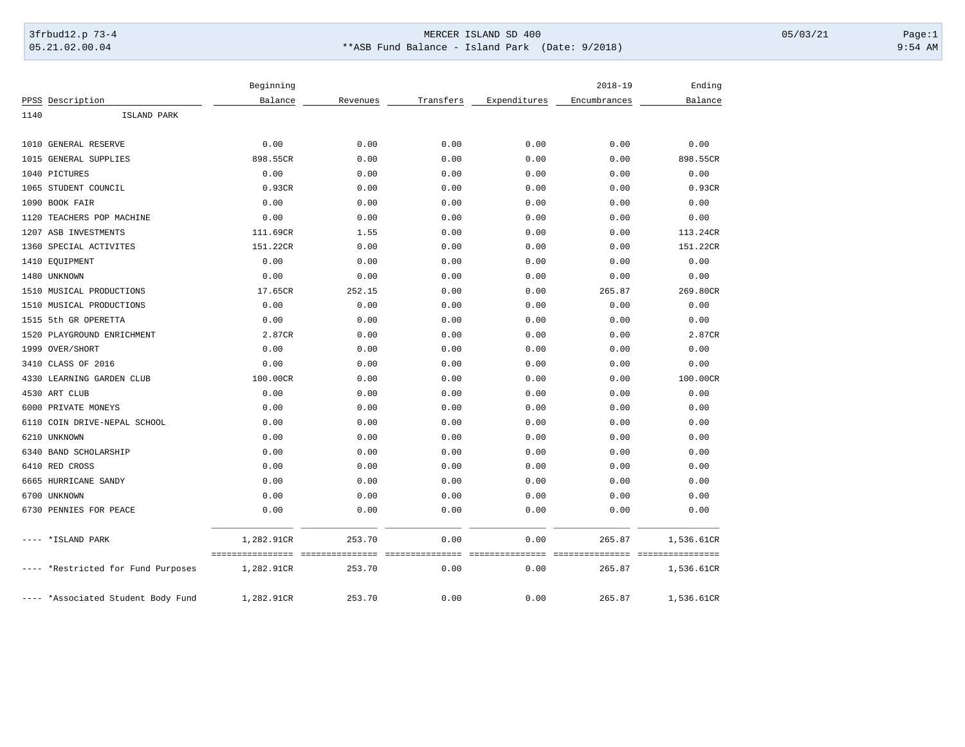## 3frbud12.p 73-4 Page:1 Page:1 05.21.02.00.04 \*\*ASB Fund Balance - Island Park (Date: 9/2018) 9:54 AM

|                                    | Beginning                      |                            |                 |                         | $2018 - 19$  | Ending                            |
|------------------------------------|--------------------------------|----------------------------|-----------------|-------------------------|--------------|-----------------------------------|
| PPSS Description                   | Balance                        | Revenues                   | Transfers       | Expenditures            | Encumbrances | Balance                           |
| 1140<br>ISLAND PARK                |                                |                            |                 |                         |              |                                   |
| 1010 GENERAL RESERVE               | 0.00                           | 0.00                       | 0.00            | 0.00                    | 0.00         | 0.00                              |
| <b>GENERAL SUPPLIES</b><br>1015    | 898.55CR                       | 0.00                       | 0.00            | 0.00                    | 0.00         | 898.55CR                          |
| 1040 PICTURES                      | 0.00                           | 0.00                       | 0.00            | 0.00                    | 0.00         | 0.00                              |
| 1065 STUDENT COUNCIL               | 0.93CR                         | 0.00                       | 0.00            | 0.00                    | 0.00         | 0.93CR                            |
| 1090 BOOK FAIR                     | 0.00                           | 0.00                       | 0.00            |                         | 0.00         | 0.00                              |
|                                    |                                |                            |                 | 0.00                    |              |                                   |
| 1120 TEACHERS POP MACHINE          | 0.00                           | 0.00                       | 0.00            | 0.00                    | 0.00         | 0.00                              |
| 1207 ASB INVESTMENTS               | 111.69CR                       | 1.55                       | 0.00            | 0.00                    | 0.00         | 113.24CR                          |
| 1360 SPECIAL ACTIVITES             | 151.22CR                       | 0.00                       | 0.00            | 0.00                    | 0.00         | 151.22CR                          |
| 1410 EQUIPMENT                     | 0.00                           | 0.00                       | 0.00            | 0.00                    | 0.00         | 0.00                              |
| 1480 UNKNOWN                       | 0.00                           | 0.00                       | 0.00            | 0.00                    | 0.00         | 0.00                              |
| 1510 MUSICAL PRODUCTIONS           | 17.65CR                        | 252.15                     | 0.00            | 0.00                    | 265.87       | 269.80CR                          |
| 1510 MUSICAL PRODUCTIONS           | 0.00                           | 0.00                       | 0.00            | 0.00                    | 0.00         | 0.00                              |
| 1515 5th GR OPERETTA               | 0.00                           | 0.00                       | 0.00            | 0.00                    | 0.00         | 0.00                              |
| 1520 PLAYGROUND ENRICHMENT         | 2.87CR                         | 0.00                       | 0.00            | 0.00                    | 0.00         | 2.87CR                            |
| 1999 OVER/SHORT                    | 0.00                           | 0.00                       | 0.00            | 0.00                    | 0.00         | 0.00                              |
| 3410 CLASS OF 2016                 | 0.00                           | 0.00                       | 0.00            | 0.00                    | 0.00         | 0.00                              |
| LEARNING GARDEN CLUB<br>4330       | 100.00CR                       | 0.00                       | 0.00            | 0.00                    | 0.00         | 100.00CR                          |
| 4530 ART CLUB                      | 0.00                           | 0.00                       | 0.00            | 0.00                    | 0.00         | 0.00                              |
| 6000 PRIVATE MONEYS                | 0.00                           | 0.00                       | 0.00            | 0.00                    | 0.00         | 0.00                              |
| 6110 COIN DRIVE-NEPAL SCHOOL       | 0.00                           | 0.00                       | 0.00            | 0.00                    | 0.00         | 0.00                              |
| UNKNOWN<br>6210                    | 0.00                           | 0.00                       | 0.00            | 0.00                    | 0.00         | 0.00                              |
| 6340 BAND SCHOLARSHIP              | 0.00                           | 0.00                       | 0.00            | 0.00                    | 0.00         | 0.00                              |
| 6410 RED CROSS                     | 0.00                           | 0.00                       | 0.00            | 0.00                    | 0.00         | 0.00                              |
| 6665 HURRICANE SANDY               | 0.00                           | 0.00                       | 0.00            | 0.00                    | 0.00         | 0.00                              |
| 6700 UNKNOWN                       | 0.00                           | 0.00                       | 0.00            | 0.00                    | 0.00         | 0.00                              |
| 6730 PENNIES FOR PEACE             | 0.00                           | 0.00                       | 0.00            | 0.00                    | 0.00         | 0.00                              |
| *ISLAND PARK                       | 1,282.91CR<br>================ | 253.70<br>-000000000000000 | 0.00            | 0.00<br>secondocedorese | 265.87       | 1,536.61CR                        |
|                                    |                                |                            | =============== |                         |              | ---------------- ---------------- |
| *Restricted for Fund Purposes      | 1,282.91CR                     | 253.70                     | 0.00            | 0.00                    | 265.87       | 1,536.61CR                        |
| ---- *Associated Student Body Fund | 1,282.91CR                     | 253.70                     | 0.00            | 0.00                    | 265.87       | 1,536.61CR                        |